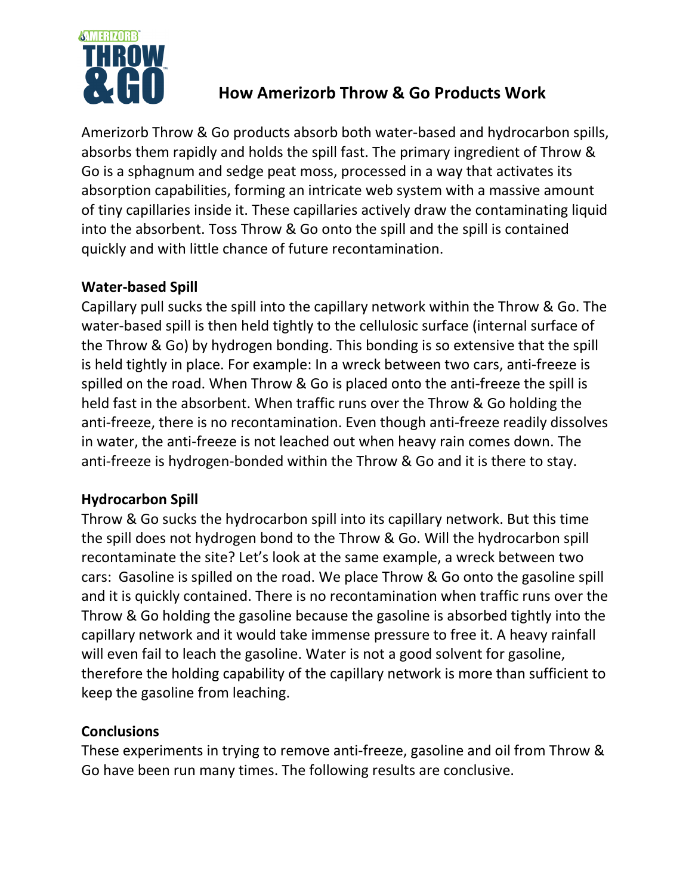

## **How Amerizorb Throw & Go Products Work**

Amerizorb Throw & Go products absorb both water-based and hydrocarbon spills, absorbs them rapidly and holds the spill fast. The primary ingredient of Throw & Go is a sphagnum and sedge peat moss, processed in a way that activates its absorption capabilities, forming an intricate web system with a massive amount of tiny capillaries inside it. These capillaries actively draw the contaminating liquid into the absorbent. Toss Throw & Go onto the spill and the spill is contained quickly and with little chance of future recontamination.

## **Water-based Spill**

Capillary pull sucks the spill into the capillary network within the Throw & Go. The water-based spill is then held tightly to the cellulosic surface (internal surface of the Throw & Go) by hydrogen bonding. This bonding is so extensive that the spill is held tightly in place. For example: In a wreck between two cars, anti-freeze is spilled on the road. When Throw & Go is placed onto the anti-freeze the spill is held fast in the absorbent. When traffic runs over the Throw & Go holding the anti-freeze, there is no recontamination. Even though anti-freeze readily dissolves in water, the anti-freeze is not leached out when heavy rain comes down. The anti-freeze is hydrogen-bonded within the Throw & Go and it is there to stay.

## **Hydrocarbon Spill**

Throw & Go sucks the hydrocarbon spill into its capillary network. But this time the spill does not hydrogen bond to the Throw & Go. Will the hydrocarbon spill recontaminate the site? Let's look at the same example, a wreck between two cars: Gasoline is spilled on the road. We place Throw & Go onto the gasoline spill and it is quickly contained. There is no recontamination when traffic runs over the Throw & Go holding the gasoline because the gasoline is absorbed tightly into the capillary network and it would take immense pressure to free it. A heavy rainfall will even fail to leach the gasoline. Water is not a good solvent for gasoline, therefore the holding capability of the capillary network is more than sufficient to keep the gasoline from leaching.

## **Conclusions**

These experiments in trying to remove anti-freeze, gasoline and oil from Throw & Go have been run many times. The following results are conclusive.